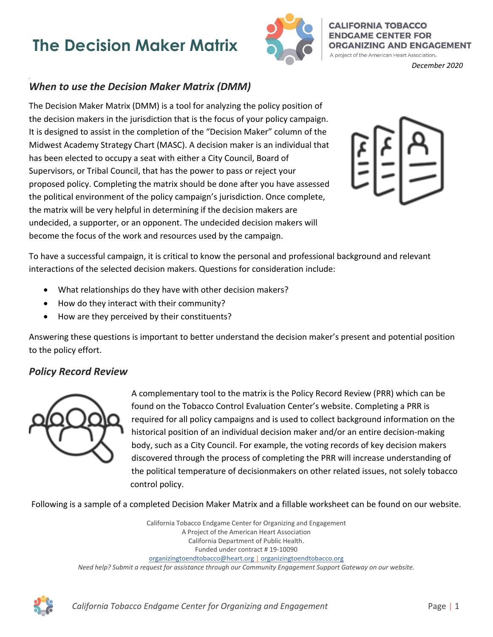## **The Decision Maker Matrix**



**CALIFORNIA TOBACCO ENDGAME CENTER FOR ORGANIZING AND ENGAGEMENT** A project of the American Heart Association.

*December 2020*

## *When to use the Decision Maker Matrix (DMM)*

The Decision Maker Matrix (DMM) is a tool for analyzing the policy position of the decision makers in the jurisdiction that is the focus of your policy campaign. It is designed to assist in the completion of the "Decision Maker" column of the Midwest Academy Strategy Chart (MASC). A decision maker is an individual that has been elected to occupy a seat with either a City Council, Board of Supervisors, or Tribal Council, that has the power to pass or reject your proposed policy. Completing the matrix should be done after you have assessed the political environment of the policy campaign's jurisdiction. Once complete, the matrix will be very helpful in determining if the decision makers are undecided, a supporter, or an opponent. The undecided decision makers will become the focus of the work and resources used by the campaign.



To have a successful campaign, it is critical to know the personal and professional background and relevant interactions of the selected decision makers. Questions for consideration include:

- What relationships do they have with other decision makers?
- How do they interact with their community?
- How are they perceived by their constituents?

Answering these questions is important to better understand the decision maker's present and potential position to the policy effort.

## *Policy Record Review*



A complementary tool to the matrix is the Policy Record Review (PRR) which can be found on the Tobacco Control Evaluation Center's website. Completing a PRR is required for all policy campaigns and is used to collect background information on the historical position of an individual decision maker and/or an entire decision-making body, such as a City Council. For example, the voting records of key decision makers discovered through the process of completing the PRR will increase understanding of the political temperature of decisionmakers on other related issues, not solely tobacco control policy.

Following is a sample of a completed Decision Maker Matrix and a fillable worksheet can be found on our website.

California Tobacco Endgame Center for Organizing and Engagement A Project of the American Heart Association California Department of Public Health. Funded under contract # 19-10090 organizingtoendtobacco@heart.org | organizingtoendtobacco.org *Need help? Submit a request for assistance through our Community Engagement Support Gateway on our website.* 

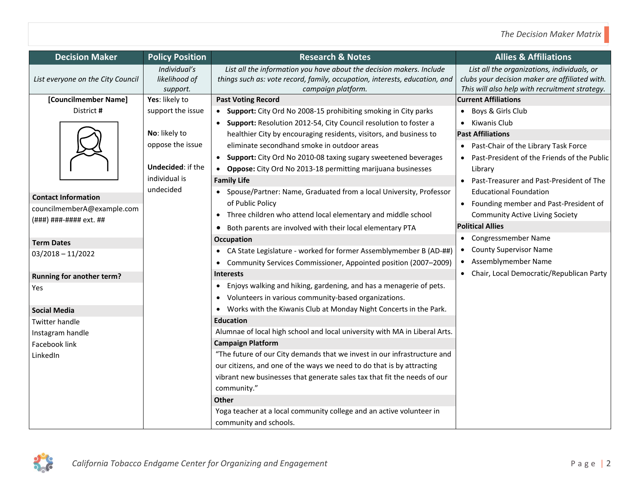| <b>Decision Maker</b>             | <b>Policy Position</b>   | <b>Research &amp; Notes</b>                                                     | <b>Allies &amp; Affiliations</b>               |
|-----------------------------------|--------------------------|---------------------------------------------------------------------------------|------------------------------------------------|
|                                   | Individual's             | List all the information you have about the decision makers. Include            | List all the organizations, individuals, or    |
| List everyone on the City Council | likelihood of            | things such as: vote record, family, occupation, interests, education, and      | clubs your decision maker are affiliated with. |
|                                   | support.                 | campaign platform.                                                              | This will also help with recruitment strategy. |
| [Councilmember Name]              | Yes: likely to           | <b>Past Voting Record</b>                                                       | <b>Current Affiliations</b>                    |
| District #                        | support the issue        | • Support: City Ord No 2008-15 prohibiting smoking in City parks                | Boys & Girls Club<br>$\bullet$                 |
|                                   |                          | • Support: Resolution 2012-54, City Council resolution to foster a              | Kiwanis Club                                   |
|                                   | No: likely to            | healthier City by encouraging residents, visitors, and business to              | <b>Past Affiliations</b>                       |
|                                   | oppose the issue         | eliminate secondhand smoke in outdoor areas                                     | • Past-Chair of the Library Task Force         |
|                                   |                          | • Support: City Ord No 2010-08 taxing sugary sweetened beverages                | Past-President of the Friends of the Public    |
|                                   | <b>Undecided: if the</b> | • Oppose: City Ord No 2013-18 permitting marijuana businesses                   | Library                                        |
|                                   | individual is            | <b>Family Life</b>                                                              | Past-Treasurer and Past-President of The       |
|                                   | undecided                | • Spouse/Partner: Name, Graduated from a local University, Professor            | <b>Educational Foundation</b>                  |
| <b>Contact Information</b>        |                          | of Public Policy                                                                | • Founding member and Past-President of        |
| councilmemberA@example.com        |                          | Three children who attend local elementary and middle school                    | <b>Community Active Living Society</b>         |
| (###) ###-#### ext. ##            |                          | • Both parents are involved with their local elementary PTA                     | <b>Political Allies</b>                        |
| <b>Term Dates</b>                 |                          | Occupation                                                                      | • Congressmember Name                          |
| $03/2018 - 11/2022$               |                          | • CA State Legislature - worked for former Assemblymember B (AD-##)             | <b>County Supervisor Name</b>                  |
|                                   |                          | • Community Services Commissioner, Appointed position (2007-2009)               | Assemblymember Name<br>$\bullet$               |
| <b>Running for another term?</b>  |                          | <b>Interests</b>                                                                | • Chair, Local Democratic/Republican Party     |
| Yes                               |                          | Enjoys walking and hiking, gardening, and has a menagerie of pets.<br>$\bullet$ |                                                |
|                                   |                          | Volunteers in various community-based organizations.                            |                                                |
| <b>Social Media</b>               |                          | • Works with the Kiwanis Club at Monday Night Concerts in the Park.             |                                                |
| <b>Twitter handle</b>             |                          | <b>Education</b>                                                                |                                                |
| Instagram handle                  |                          | Alumnae of local high school and local university with MA in Liberal Arts.      |                                                |
| Facebook link                     |                          | <b>Campaign Platform</b>                                                        |                                                |
| LinkedIn                          |                          | "The future of our City demands that we invest in our infrastructure and        |                                                |
|                                   |                          | our citizens, and one of the ways we need to do that is by attracting           |                                                |
|                                   |                          | vibrant new businesses that generate sales tax that fit the needs of our        |                                                |
|                                   |                          | community."                                                                     |                                                |
|                                   |                          | <b>Other</b>                                                                    |                                                |
|                                   |                          | Yoga teacher at a local community college and an active volunteer in            |                                                |
|                                   |                          | community and schools.                                                          |                                                |